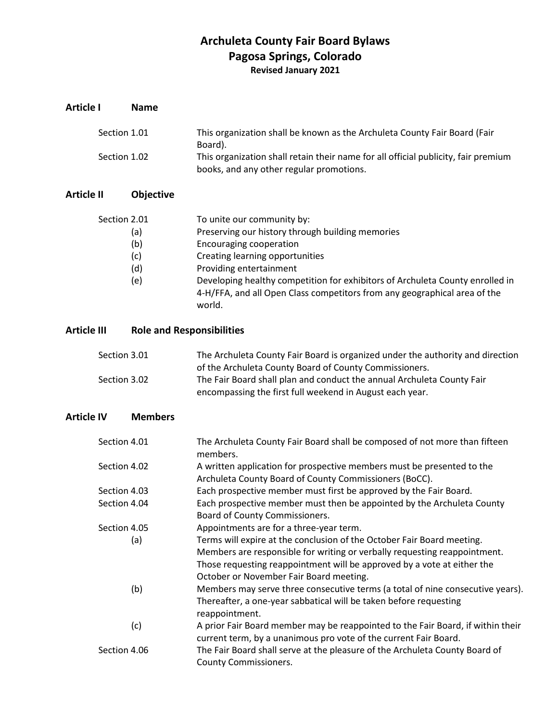# **Archuleta County Fair Board Bylaws Pagosa Springs, Colorado Revised January 2021**

| <b>Article I</b>   |              | <b>Name</b>                      |                                                                                                                                                                                                                                                                                                                                                        |
|--------------------|--------------|----------------------------------|--------------------------------------------------------------------------------------------------------------------------------------------------------------------------------------------------------------------------------------------------------------------------------------------------------------------------------------------------------|
|                    | Section 1.01 |                                  | This organization shall be known as the Archuleta County Fair Board (Fair<br>Board).                                                                                                                                                                                                                                                                   |
|                    | Section 1.02 |                                  | This organization shall retain their name for all official publicity, fair premium<br>books, and any other regular promotions.                                                                                                                                                                                                                         |
| <b>Article II</b>  |              | Objective                        |                                                                                                                                                                                                                                                                                                                                                        |
|                    | Section 2.01 | (a)<br>(b)<br>(c)<br>(d)<br>(e)  | To unite our community by:<br>Preserving our history through building memories<br><b>Encouraging cooperation</b><br>Creating learning opportunities<br>Providing entertainment<br>Developing healthy competition for exhibitors of Archuleta County enrolled in<br>4-H/FFA, and all Open Class competitors from any geographical area of the<br>world. |
| <b>Article III</b> |              | <b>Role and Responsibilities</b> |                                                                                                                                                                                                                                                                                                                                                        |
|                    | Section 3.01 |                                  | The Archuleta County Fair Board is organized under the authority and direction<br>of the Archuleta County Board of County Commissioners.                                                                                                                                                                                                               |
|                    | Section 3.02 |                                  | The Fair Board shall plan and conduct the annual Archuleta County Fair<br>encompassing the first full weekend in August each year.                                                                                                                                                                                                                     |
| <b>Article IV</b>  |              | <b>Members</b>                   |                                                                                                                                                                                                                                                                                                                                                        |
|                    | Section 4.01 |                                  | The Archuleta County Fair Board shall be composed of not more than fifteen<br>members.                                                                                                                                                                                                                                                                 |
|                    | Section 4.02 |                                  | A written application for prospective members must be presented to the<br>Archuleta County Board of County Commissioners (BoCC).                                                                                                                                                                                                                       |
|                    | Section 4.03 |                                  | Each prospective member must first be approved by the Fair Board.                                                                                                                                                                                                                                                                                      |
|                    | Section 4.04 |                                  | Each prospective member must then be appointed by the Archuleta County<br>Board of County Commissioners.                                                                                                                                                                                                                                               |
|                    | Section 4.05 | (a)                              | Appointments are for a three-year term.<br>Terms will expire at the conclusion of the October Fair Board meeting.<br>Members are responsible for writing or verbally requesting reappointment.<br>Those requesting reappointment will be approved by a vote at either the<br>October or November Fair Board meeting.                                   |
|                    |              | (b)                              | Members may serve three consecutive terms (a total of nine consecutive years).<br>Thereafter, a one-year sabbatical will be taken before requesting<br>reappointment.                                                                                                                                                                                  |
|                    |              | (c)                              | A prior Fair Board member may be reappointed to the Fair Board, if within their<br>current term, by a unanimous pro vote of the current Fair Board.                                                                                                                                                                                                    |
|                    | Section 4.06 |                                  | The Fair Board shall serve at the pleasure of the Archuleta County Board of<br><b>County Commissioners.</b>                                                                                                                                                                                                                                            |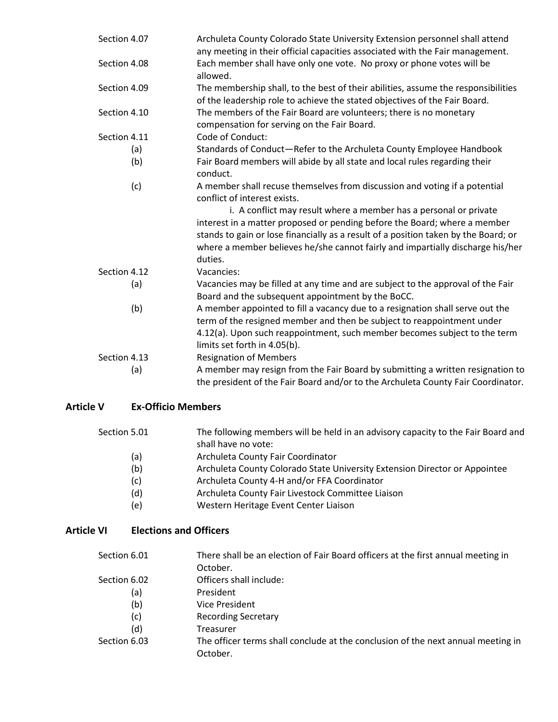| Section 4.07 | Archuleta County Colorado State University Extension personnel shall attend<br>any meeting in their official capacities associated with the Fair management.          |
|--------------|-----------------------------------------------------------------------------------------------------------------------------------------------------------------------|
| Section 4.08 | Each member shall have only one vote. No proxy or phone votes will be<br>allowed.                                                                                     |
| Section 4.09 | The membership shall, to the best of their abilities, assume the responsibilities<br>of the leadership role to achieve the stated objectives of the Fair Board.       |
| Section 4.10 | The members of the Fair Board are volunteers; there is no monetary<br>compensation for serving on the Fair Board.                                                     |
| Section 4.11 | Code of Conduct:                                                                                                                                                      |
| (a)          | Standards of Conduct-Refer to the Archuleta County Employee Handbook                                                                                                  |
| (b)          | Fair Board members will abide by all state and local rules regarding their<br>conduct.                                                                                |
| (c)          | A member shall recuse themselves from discussion and voting if a potential<br>conflict of interest exists.                                                            |
|              | i. A conflict may result where a member has a personal or private                                                                                                     |
|              | interest in a matter proposed or pending before the Board; where a member                                                                                             |
|              | stands to gain or lose financially as a result of a position taken by the Board; or<br>where a member believes he/she cannot fairly and impartially discharge his/her |
|              | duties.                                                                                                                                                               |
| Section 4.12 | Vacancies:                                                                                                                                                            |
| (a)          | Vacancies may be filled at any time and are subject to the approval of the Fair<br>Board and the subsequent appointment by the BoCC.                                  |
| (b)          | A member appointed to fill a vacancy due to a resignation shall serve out the<br>term of the resigned member and then be subject to reappointment under               |
|              | 4.12(a). Upon such reappointment, such member becomes subject to the term                                                                                             |
|              | limits set forth in 4.05(b).                                                                                                                                          |
| Section 4.13 | <b>Resignation of Members</b>                                                                                                                                         |
| (a)          | A member may resign from the Fair Board by submitting a written resignation to                                                                                        |
|              | the president of the Fair Board and/or to the Archuleta County Fair Coordinator.                                                                                      |

## **Article V Ex-Officio Members**

| Section 5.01 | The following members will be held in an advisory capacity to the Fair Board and |
|--------------|----------------------------------------------------------------------------------|
|              | shall have no vote:                                                              |

- (a) Archuleta County Fair Coordinator
- (b) Archuleta County Colorado State University Extension Director or Appointee
- (c) Archuleta County 4-H and/or FFA Coordinator
- (d) Archuleta County Fair Livestock Committee Liaison
- (e) Western Heritage Event Center Liaison

### **Article VI Elections and Officers**

| Section 6.01 | There shall be an election of Fair Board officers at the first annual meeting in<br>October. |
|--------------|----------------------------------------------------------------------------------------------|
| Section 6.02 | Officers shall include:                                                                      |
| (a)          | President                                                                                    |
| (b)          | Vice President                                                                               |
| (c)          | <b>Recording Secretary</b>                                                                   |
| (d)          | Treasurer                                                                                    |
| Section 6.03 | The officer terms shall conclude at the conclusion of the next annual meeting in             |
|              | October.                                                                                     |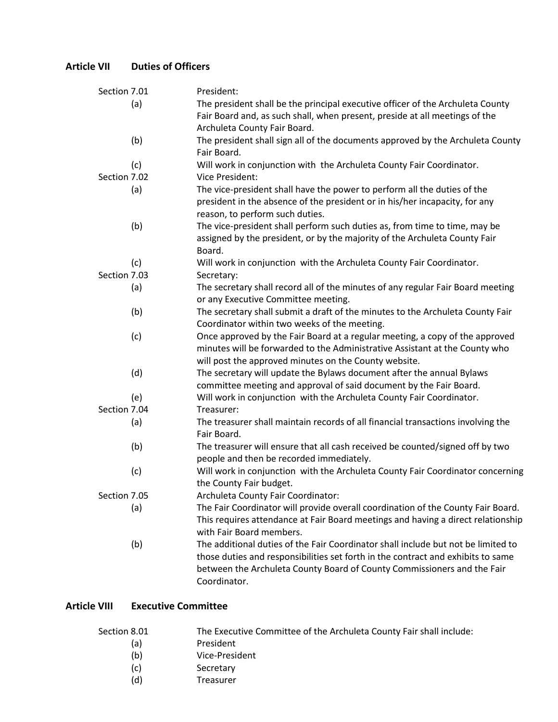## **Article VII Duties of Officers**

| Section 7.01 |     | President:                                                                        |
|--------------|-----|-----------------------------------------------------------------------------------|
|              | (a) | The president shall be the principal executive officer of the Archuleta County    |
|              |     | Fair Board and, as such shall, when present, preside at all meetings of the       |
|              |     | Archuleta County Fair Board.                                                      |
|              | (b) | The president shall sign all of the documents approved by the Archuleta County    |
|              |     | Fair Board.                                                                       |
|              | (c) | Will work in conjunction with the Archuleta County Fair Coordinator.              |
| Section 7.02 |     | Vice President:                                                                   |
|              | (a) | The vice-president shall have the power to perform all the duties of the          |
|              |     | president in the absence of the president or in his/her incapacity, for any       |
|              |     | reason, to perform such duties.                                                   |
|              | (b) | The vice-president shall perform such duties as, from time to time, may be        |
|              |     | assigned by the president, or by the majority of the Archuleta County Fair        |
|              |     | Board.                                                                            |
|              | (c) | Will work in conjunction with the Archuleta County Fair Coordinator.              |
| Section 7.03 |     | Secretary:                                                                        |
|              | (a) | The secretary shall record all of the minutes of any regular Fair Board meeting   |
|              |     | or any Executive Committee meeting.                                               |
|              | (b) | The secretary shall submit a draft of the minutes to the Archuleta County Fair    |
|              |     | Coordinator within two weeks of the meeting.                                      |
|              | (c) | Once approved by the Fair Board at a regular meeting, a copy of the approved      |
|              |     | minutes will be forwarded to the Administrative Assistant at the County who       |
|              |     | will post the approved minutes on the County website.                             |
|              | (d) | The secretary will update the Bylaws document after the annual Bylaws             |
|              |     | committee meeting and approval of said document by the Fair Board.                |
|              | (e) | Will work in conjunction with the Archuleta County Fair Coordinator.              |
| Section 7.04 |     | Treasurer:                                                                        |
|              | (a) | The treasurer shall maintain records of all financial transactions involving the  |
|              |     | Fair Board.                                                                       |
|              | (b) | The treasurer will ensure that all cash received be counted/signed off by two     |
|              |     | people and then be recorded immediately.                                          |
|              | (c) | Will work in conjunction with the Archuleta County Fair Coordinator concerning    |
|              |     | the County Fair budget.                                                           |
| Section 7.05 |     | Archuleta County Fair Coordinator:                                                |
|              | (a) | The Fair Coordinator will provide overall coordination of the County Fair Board.  |
|              |     | This requires attendance at Fair Board meetings and having a direct relationship  |
|              |     | with Fair Board members.                                                          |
|              | (b) | The additional duties of the Fair Coordinator shall include but not be limited to |
|              |     | those duties and responsibilities set forth in the contract and exhibits to same  |
|              |     | between the Archuleta County Board of County Commissioners and the Fair           |
|              |     | Coordinator.                                                                      |

## **Article VIII Executive Committee**

| Section 8.01 | The Executive Committee of the Archuleta County Fair shall include: |
|--------------|---------------------------------------------------------------------|
| (a)          | President                                                           |
| (b)          | Vice-President                                                      |
| (c)          | Secretary                                                           |
| (d)          | Treasurer                                                           |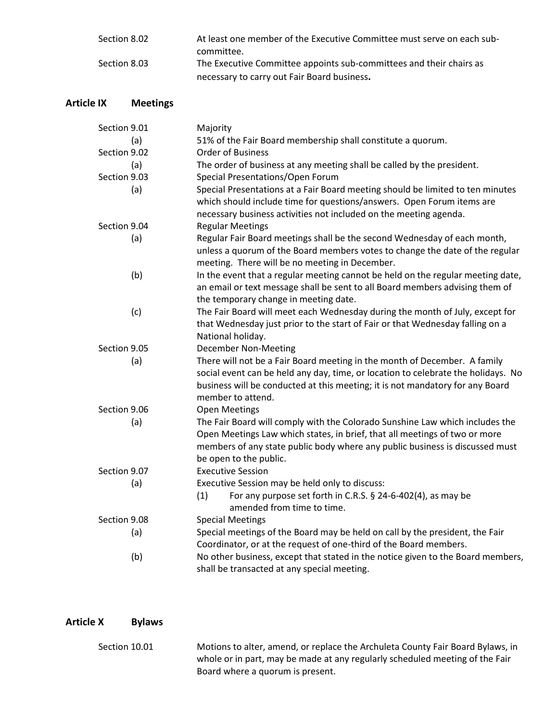| Section 8.02 | At least one member of the Executive Committee must serve on each sub- |
|--------------|------------------------------------------------------------------------|
|              | committee.                                                             |
| Section 8.03 | The Executive Committee appoints sub-committees and their chairs as    |
|              | necessary to carry out Fair Board business.                            |

## **Article IX Meetings**

| Section 9.01 | Majority                                                                          |
|--------------|-----------------------------------------------------------------------------------|
| (a)          | 51% of the Fair Board membership shall constitute a quorum.                       |
| Section 9.02 | <b>Order of Business</b>                                                          |
| (a)          | The order of business at any meeting shall be called by the president.            |
| Section 9.03 | Special Presentations/Open Forum                                                  |
| (a)          | Special Presentations at a Fair Board meeting should be limited to ten minutes    |
|              | which should include time for questions/answers. Open Forum items are             |
|              | necessary business activities not included on the meeting agenda.                 |
| Section 9.04 | <b>Regular Meetings</b>                                                           |
| (a)          | Regular Fair Board meetings shall be the second Wednesday of each month,          |
|              | unless a quorum of the Board members votes to change the date of the regular      |
|              | meeting. There will be no meeting in December.                                    |
| (b)          | In the event that a regular meeting cannot be held on the regular meeting date,   |
|              | an email or text message shall be sent to all Board members advising them of      |
|              | the temporary change in meeting date.                                             |
| (c)          | The Fair Board will meet each Wednesday during the month of July, except for      |
|              | that Wednesday just prior to the start of Fair or that Wednesday falling on a     |
|              | National holiday.                                                                 |
| Section 9.05 | December Non-Meeting                                                              |
| (a)          | There will not be a Fair Board meeting in the month of December. A family         |
|              | social event can be held any day, time, or location to celebrate the holidays. No |
|              | business will be conducted at this meeting; it is not mandatory for any Board     |
|              | member to attend.                                                                 |
| Section 9.06 | <b>Open Meetings</b>                                                              |
| (a)          | The Fair Board will comply with the Colorado Sunshine Law which includes the      |
|              | Open Meetings Law which states, in brief, that all meetings of two or more        |
|              | members of any state public body where any public business is discussed must      |
|              | be open to the public.                                                            |
| Section 9.07 | <b>Executive Session</b>                                                          |
| (a)          | Executive Session may be held only to discuss:                                    |
|              | For any purpose set forth in C.R.S. § 24-6-402(4), as may be<br>(1)               |
|              | amended from time to time.                                                        |
| Section 9.08 | <b>Special Meetings</b>                                                           |
| (a)          | Special meetings of the Board may be held on call by the president, the Fair      |
|              | Coordinator, or at the request of one-third of the Board members.                 |
| (b)          | No other business, except that stated in the notice given to the Board members,   |
|              | shall be transacted at any special meeting.                                       |

### **Article X Bylaws**

Section 10.01 Motions to alter, amend, or replace the Archuleta County Fair Board Bylaws, in whole or in part, may be made at any regularly scheduled meeting of the Fair Board where a quorum is present.